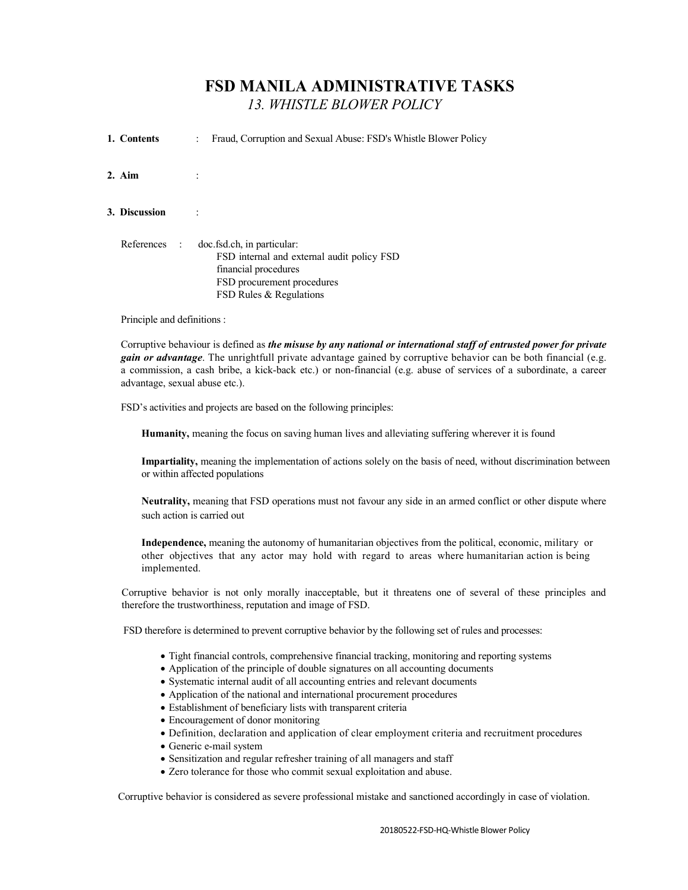## FSD MANILA ADMINISTRATIVE TASKS 13. WHISTLE BLOWER POLICY

| 1. Contents   | Fraud, Corruption and Sexual Abuse: FSD's Whistle Blower Policy<br>$\ddot{\phantom{0}}$                                                                   |
|---------------|-----------------------------------------------------------------------------------------------------------------------------------------------------------|
| $2.$ Aim      |                                                                                                                                                           |
| 3. Discussion |                                                                                                                                                           |
| References :  | doc.fsd.ch, in particular:<br>FSD internal and external audit policy FSD<br>financial procedures<br>FSD procurement procedures<br>FSD Rules & Regulations |

Principle and definitions :

Corruptive behaviour is defined as the misuse by any national or international staff of entrusted power for private gain or advantage. The unrightfull private advantage gained by corruptive behavior can be both financial (e.g. a commission, a cash bribe, a kick-back etc.) or non-financial (e.g. abuse of services of a subordinate, a care advantage, sexual abuse etc.).

FSD's activities and projects are based on the following principles:

Humanity, meaning the focus on saving human lives and alleviating suffering wherever it is found

Impartiality, meaning the implementation of actions solely on the basis of need, without discrimination between or within affected populations

Neutrality, meaning that FSD operations must not favour any side in an armed conflict or other dispute where such action is carried out

Independence, meaning the autonomy of humanitarian objectives from the political, economic, military or other objectives that any actor may hold with regard to areas where humanitarian action is being implemented.

Corruptive behavior is not only morally inacceptable, but it threatens one of several of these principles and therefore the trustworthiness, reputation and image of FSD.

FSD therefore is determined to prevent corruptive behavior by the following set of rules and processes:

- Tight financial controls, comprehensive financial tracking, monitoring and reporting systems
- Application of the principle of double signatures on all accounting documents
- Systematic internal audit of all accounting entries and relevant documents
- Application of the national and international procurement procedures
- Establishment of beneficiary lists with transparent criteria
- Encouragement of donor monitoring
- Definition, declaration and application of clear employment criteria and recruitment procedures
- Generic e-mail system
- Sensitization and regular refresher training of all managers and staff
- Zero tolerance for those who commit sexual exploitation and abuse.

Corruptive behavior is considered as severe professional mistake and sanctioned accordingly in case of violation.